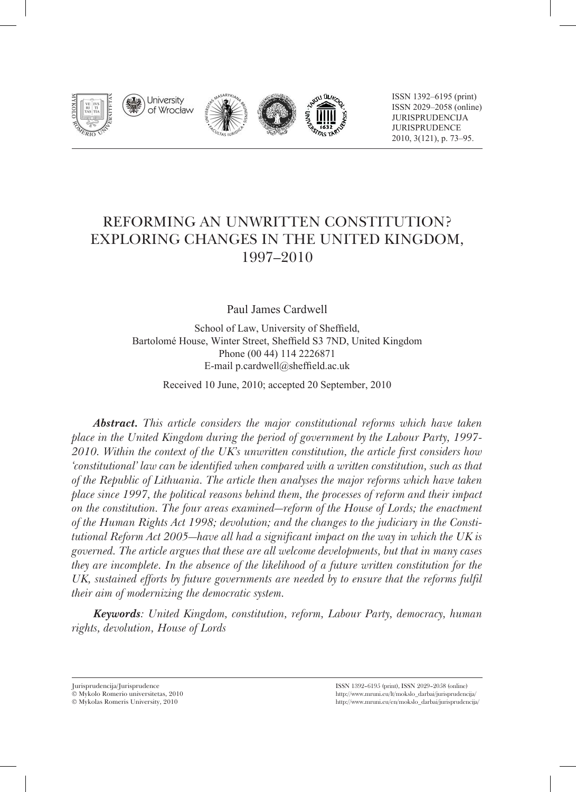







ISSN 1392–6195 (print) ISSN 2029–2058 (online) jurisprudencija **JURISPRUDENCE** 2010, 3(121), p. 73–95.

# Reforming an Unwritten Constitution? Exploring Changes in the United Kingdom, 1997–2010

Paul James Cardwell

School of Law, University of Sheffield, Bartolomé House, Winter Street, Sheffield S3 7ND, United Kingdom Phone (00 44) 114 2226871 E-mail p.cardwell@sheffield.ac.uk

Received 10 June, 2010; accepted 20 September, 2010

*Abstract. This article considers the major constitutional reforms which have taken place in the United Kingdom during the period of government by the Labour Party, 1997- 2010. Within the context of the UK's unwritten constitution, the article first considers how 'constitutional' law can be identified when compared with a written constitution, such as that of the Republic of Lithuania. The article then analyses the major reforms which have taken place since 1997, the political reasons behind them, the processes of reform and their impact on the constitution. The four areas examined—reform of the House of Lords; the enactment of the Human Rights Act 1998; devolution; and the changes to the judiciary in the Constitutional Reform Act 2005—have all had a significant impact on the way in which the UK is governed. The article argues that these are all welcome developments, but that in many cases they are incomplete. In the absence of the likelihood of a future written constitution for the*  UK, sustained efforts by future governments are needed by to ensure that the reforms fulfil *their aim of modernizing the democratic system.*

*Keywords: United Kingdom, constitution, reform, Labour Party, democracy, human rights, devolution, House of Lords*

Jurisprudencija/Jurisprudence

Mykolo Romerio universitetas, 2010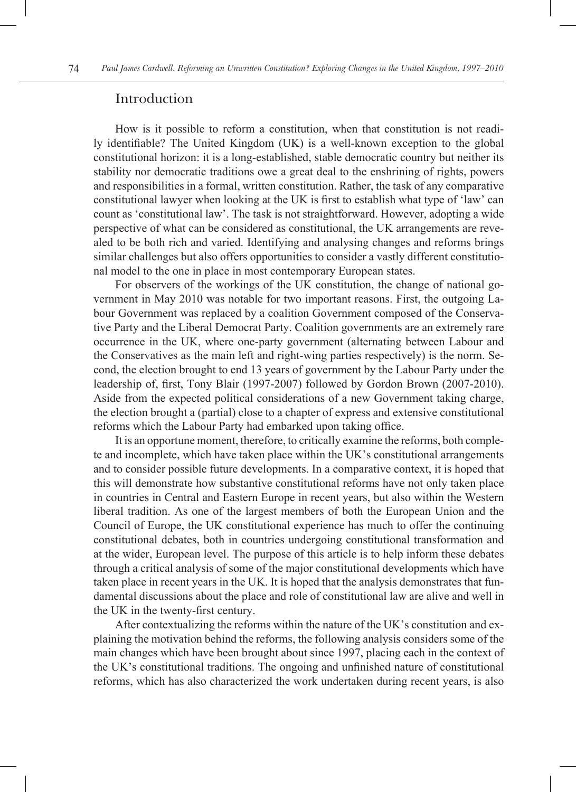#### Introduction

How is it possible to reform a constitution, when that constitution is not readily identifiable? The United Kingdom (UK) is a well-known exception to the global constitutional horizon: it is a long-established, stable democratic country but neither its stability nor democratic traditions owe a great deal to the enshrining of rights, powers and responsibilities in a formal, written constitution. Rather, the task of any comparative constitutional lawyer when looking at the UK is first to establish what type of 'law' can count as 'constitutional law'. The task is not straightforward. However, adopting a wide perspective of what can be considered as constitutional, the UK arrangements are revealed to be both rich and varied. Identifying and analysing changes and reforms brings similar challenges but also offers opportunities to consider a vastly different constitutional model to the one in place in most contemporary European states.

For observers of the workings of the UK constitution, the change of national government in May 2010 was notable for two important reasons. First, the outgoing Labour Government was replaced by a coalition Government composed of the Conservative Party and the Liberal Democrat Party. Coalition governments are an extremely rare occurrence in the UK, where one-party government (alternating between Labour and the Conservatives as the main left and right-wing parties respectively) is the norm. Second, the election brought to end 13 years of government by the Labour Party under the leadership of, first, Tony Blair (1997-2007) followed by Gordon Brown (2007-2010). Aside from the expected political considerations of a new Government taking charge, the election brought a (partial) close to a chapter of express and extensive constitutional reforms which the Labour Party had embarked upon taking office.

It is an opportune moment, therefore, to critically examine the reforms, both complete and incomplete, which have taken place within the UK's constitutional arrangements and to consider possible future developments. In a comparative context, it is hoped that this will demonstrate how substantive constitutional reforms have not only taken place in countries in Central and Eastern Europe in recent years, but also within the Western liberal tradition. As one of the largest members of both the European Union and the Council of Europe, the UK constitutional experience has much to offer the continuing constitutional debates, both in countries undergoing constitutional transformation and at the wider, European level. The purpose of this article is to help inform these debates through a critical analysis of some of the major constitutional developments which have taken place in recent years in the UK. It is hoped that the analysis demonstrates that fundamental discussions about the place and role of constitutional law are alive and well in the UK in the twenty-first century.

After contextualizing the reforms within the nature of the UK's constitution and explaining the motivation behind the reforms, the following analysis considers some of the main changes which have been brought about since 1997, placing each in the context of the UK's constitutional traditions. The ongoing and unfinished nature of constitutional reforms, which has also characterized the work undertaken during recent years, is also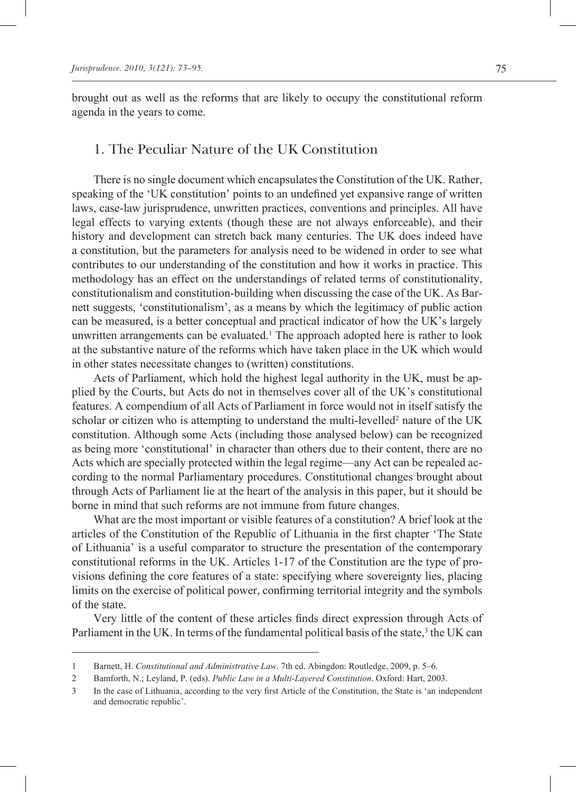brought out as well as the reforms that are likely to occupy the constitutional reform agenda in the years to come.

## 1. The Peculiar Nature of the UK Constitution

There is no single document which encapsulates the Constitution of the UK. Rather, speaking of the 'UK constitution' points to an undefined yet expansive range of written laws, case-law jurisprudence, unwritten practices, conventions and principles. All have legal effects to varying extents (though these are not always enforceable), and their history and development can stretch back many centuries. The UK does indeed have a constitution, but the parameters for analysis need to be widened in order to see what contributes to our understanding of the constitution and how it works in practice. This methodology has an effect on the understandings of related terms of constitutionality, constitutionalism and constitution-building when discussing the case of the UK. As Barnett suggests, 'constitutionalism', as a means by which the legitimacy of public action can be measured, is a better conceptual and practical indicator of how the UK's largely unwritten arrangements can be evaluated.<sup>1</sup> The approach adopted here is rather to look at the substantive nature of the reforms which have taken place in the UK which would in other states necessitate changes to (written) constitutions.

Acts of Parliament, which hold the highest legal authority in the UK, must be applied by the Courts, but Acts do not in themselves cover all of the UK's constitutional features. A compendium of all Acts of Parliament in force would not in itself satisfy the scholar or citizen who is attempting to understand the multi-levelled<sup>2</sup> nature of the UK constitution. Although some Acts (including those analysed below) can be recognized as being more 'constitutional' in character than others due to their content, there are no Acts which are specially protected within the legal regime—any Act can be repealed according to the normal Parliamentary procedures. Constitutional changes brought about through Acts of Parliament lie at the heart of the analysis in this paper, but it should be borne in mind that such reforms are not immune from future changes.

What are the most important or visible features of a constitution? A brief look at the articles of the Constitution of the Republic of Lithuania in the first chapter 'The State of Lithuania' is a useful comparator to structure the presentation of the contemporary constitutional reforms in the UK. Articles 1-17 of the Constitution are the type of provisions defining the core features of a state: specifying where sovereignty lies, placing limits on the exercise of political power, confirming territorial integrity and the symbols of the state.

Very little of the content of these articles finds direct expression through Acts of Parliament in the UK. In terms of the fundamental political basis of the state,<sup>3</sup> the UK can

 $\mathbf{1}$ Barnett, H. *Constitutional and Administrative Law*. 7th ed. Abingdon: Routledge, 2009, p. 5–6.

 $\overline{2}$ Bamforth, N.; Leyland, P. (eds). *Public Law in a Multi-Layered Constitution*. Oxford: Hart, 2003.

In the case of Lithuania, according to the very first Article of the Constitution, the State is 'an independent  $\overline{3}$ and democratic republic'.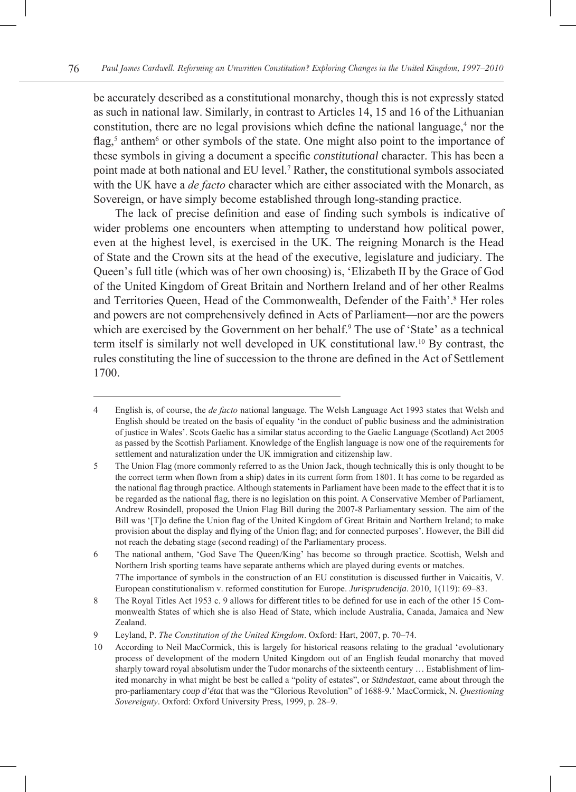be accurately described as a constitutional monarchy, though this is not expressly stated as such in national law. Similarly, in contrast to Articles 14, 15 and 16 of the Lithuanian constitution, there are no legal provisions which define the national language, $4$  nor the flag,<sup>5</sup> anthem<sup>6</sup> or other symbols of the state. One might also point to the importance of these symbols in giving a document a specific *constitutional* character. This has been a point made at both national and EU level.<sup>7</sup> Rather, the constitutional symbols associated with the UK have a *de facto* character which are either associated with the Monarch, as Sovereign, or have simply become established through long-standing practice.

The lack of precise definition and ease of finding such symbols is indicative of wider problems one encounters when attempting to understand how political power, even at the highest level, is exercised in the UK. The reigning Monarch is the Head of State and the Crown sits at the head of the executive, legislature and judiciary. The Queen's full title (which was of her own choosing) is, 'Elizabeth II by the Grace of God of the United Kingdom of Great Britain and Northern Ireland and of her other Realms and Territories Queen, Head of the Commonwealth, Defender of the Faith'.<sup>8</sup> Her roles and powers are not comprehensively defined in Acts of Parliament—nor are the powers which are exercised by the Government on her behalf.<sup>9</sup> The use of 'State' as a technical term itself is similarly not well developed in UK constitutional law.10 By contrast, the rules constituting the line of succession to the throne are defined in the Act of Settlement 1700.

English is, of course, the *de facto* national language. The Welsh Language Act 1993 states that Welsh and  $\overline{4}$ English should be treated on the basis of equality 'in the conduct of public business and the administration of justice in Wales'. Scots Gaelic has a similar status according to the Gaelic Language (Scotland) Act 2005 as passed by the Scottish Parliament. Knowledge of the English language is now one of the requirements for settlement and naturalization under the UK immigration and citizenship law.

The Union Flag (more commonly referred to as the Union Jack, though technically this is only thought to be 5 the correct term when flown from a ship) dates in its current form from 1801. It has come to be regarded as the national flag through practice. Although statements in Parliament have been made to the effect that it is to be regarded as the national flag, there is no legislation on this point. A Conservative Member of Parliament, Andrew Rosindell, proposed the Union Flag Bill during the 2007-8 Parliamentary session. The aim of the Bill was '[T]o define the Union flag of the United Kingdom of Great Britain and Northern Ireland; to make provision about the display and flying of the Union flag; and for connected purposes'. However, the Bill did not reach the debating stage (second reading) of the Parliamentary process.

<sup>6</sup> The national anthem, 'God Save The Queen/King' has become so through practice. Scottish, Welsh and Northern Irish sporting teams have separate anthems which are played during events or matches. The importance of symbols in the construction of an EU constitution is discussed further in Vaicaitis, V. European constitutionalism v. reformed constitution for Europe. *Jurisprudencija*. 2010, 1(119): 69–83.

<sup>8</sup> The Royal Titles Act 1953 c. 9 allows for different titles to be defined for use in each of the other 15 Commonwealth States of which she is also Head of State, which include Australia, Canada, Jamaica and New Zealand.

 $\mathbf Q$ Leyland, P. *The Constitution of the United Kingdom*. Oxford: Hart, 2007, p. 70–74.

<sup>10</sup> According to Neil MacCormick, this is largely for historical reasons relating to the gradual 'evolutionary process of development of the modern United Kingdom out of an English feudal monarchy that moved sharply toward royal absolutism under the Tudor monarchs of the sixteenth century … Establishment of limited monarchy in what might be best be called a "polity of estates", or *Ständestaat*, came about through the pro-parliamentary *coup d'état* that was the "Glorious Revolution" of 1688-9.' MacCormick, N. *Questioning Sovereignty*. Oxford: Oxford University Press, 1999, p. 28–9.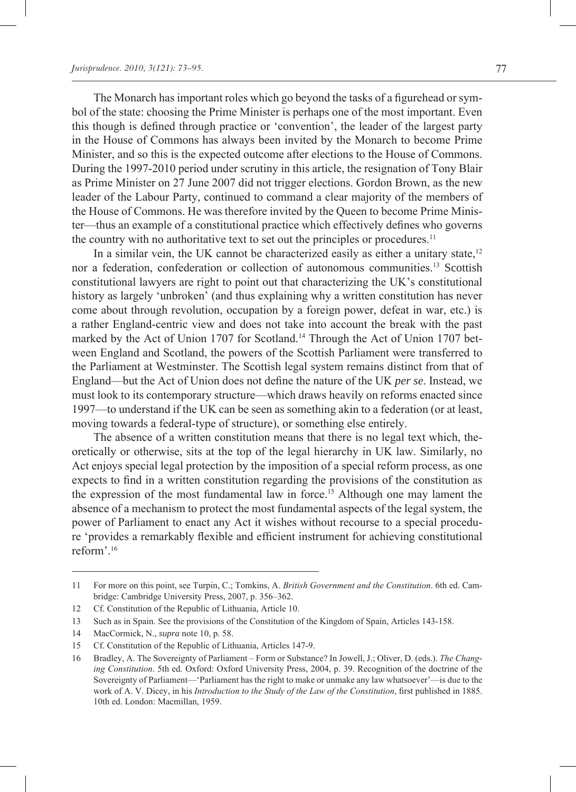The Monarch has important roles which go beyond the tasks of a figurehead or symbol of the state: choosing the Prime Minister is perhaps one of the most important. Even this though is defined through practice or 'convention', the leader of the largest party in the House of Commons has always been invited by the Monarch to become Prime Minister, and so this is the expected outcome after elections to the House of Commons. During the 1997-2010 period under scrutiny in this article, the resignation of Tony Blair as Prime Minister on 27 June 2007 did not trigger elections. Gordon Brown, as the new leader of the Labour Party, continued to command a clear majority of the members of the House of Commons. He was therefore invited by the Queen to become Prime Minister—thus an example of a constitutional practice which effectively defines who governs the country with no authoritative text to set out the principles or procedures.<sup>11</sup>

In a similar vein, the UK cannot be characterized easily as either a unitary state, $12$ nor a federation, confederation or collection of autonomous communities.13 Scottish constitutional lawyers are right to point out that characterizing the UK's constitutional history as largely 'unbroken' (and thus explaining why a written constitution has never come about through revolution, occupation by a foreign power, defeat in war, etc.) is a rather England-centric view and does not take into account the break with the past marked by the Act of Union 1707 for Scotland.<sup>14</sup> Through the Act of Union 1707 between England and Scotland, the powers of the Scottish Parliament were transferred to the Parliament at Westminster. The Scottish legal system remains distinct from that of England—but the Act of Union does not define the nature of the UK *per se*. Instead, we must look to its contemporary structure—which draws heavily on reforms enacted since 1997—to understand if the UK can be seen as something akin to a federation (or at least, moving towards a federal-type of structure), or something else entirely.

The absence of a written constitution means that there is no legal text which, theoretically or otherwise, sits at the top of the legal hierarchy in UK law. Similarly, no Act enjoys special legal protection by the imposition of a special reform process, as one expects to find in a written constitution regarding the provisions of the constitution as the expression of the most fundamental law in force.15 Although one may lament the absence of a mechanism to protect the most fundamental aspects of the legal system, the power of Parliament to enact any Act it wishes without recourse to a special procedure 'provides a remarkably flexible and efficient instrument for achieving constitutional reform'.16

<sup>11</sup> For more on this point, see Turpin, C.; Tomkins, A. *British Government and the Constitution*. 6th ed. Cambridge: Cambridge University Press, 2007, p. 356–362.

<sup>12</sup> Cf. Constitution of the Republic of Lithuania, Article 10.

<sup>13</sup> Such as in Spain. See the provisions of the Constitution of the Kingdom of Spain, Articles 143-158.

<sup>14</sup> MacCormick, N., *supra* note 10, p. 58.

<sup>15</sup> Cf. Constitution of the Republic of Lithuania, Articles 147-9.

<sup>16</sup> Bradley, A. The Sovereignty of Parliament – Form or Substance? In Jowell, J.; Oliver, D. (eds.). *The Changing Constitution*. 5th ed. Oxford: Oxford University Press, 2004, p. 39. Recognition of the doctrine of the Sovereignty of Parliament—'Parliament has the right to make or unmake any law whatsoever'—is due to the work of A. V. Dicey, in his *Introduction to the Study of the Law of the Constitution*, first published in 1885. 10th ed. London: Macmillan, 1959.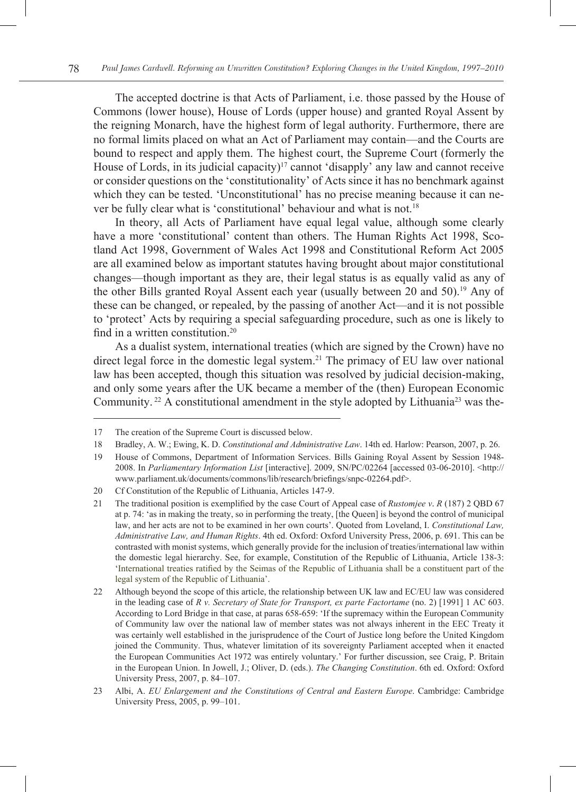The accepted doctrine is that Acts of Parliament, i.e. those passed by the House of Commons (lower house), House of Lords (upper house) and granted Royal Assent by the reigning Monarch, have the highest form of legal authority. Furthermore, there are no formal limits placed on what an Act of Parliament may contain—and the Courts are bound to respect and apply them. The highest court, the Supreme Court (formerly the House of Lords, in its judicial capacity)<sup>17</sup> cannot 'disapply' any law and cannot receive or consider questions on the 'constitutionality' of Acts since it has no benchmark against which they can be tested. 'Unconstitutional' has no precise meaning because it can never be fully clear what is 'constitutional' behaviour and what is not.<sup>18</sup>

In theory, all Acts of Parliament have equal legal value, although some clearly have a more 'constitutional' content than others. The Human Rights Act 1998, Scotland Act 1998, Government of Wales Act 1998 and Constitutional Reform Act 2005 are all examined below as important statutes having brought about major constitutional changes—though important as they are, their legal status is as equally valid as any of the other Bills granted Royal Assent each year (usually between 20 and 50).<sup>19</sup> Any of these can be changed, or repealed, by the passing of another Act—and it is not possible to 'protect' Acts by requiring a special safeguarding procedure, such as one is likely to find in a written constitution.20

As a dualist system, international treaties (which are signed by the Crown) have no direct legal force in the domestic legal system.<sup>21</sup> The primacy of EU law over national law has been accepted, though this situation was resolved by judicial decision-making, and only some years after the UK became a member of the (then) European Economic Community.<sup>22</sup> A constitutional amendment in the style adopted by Lithuania<sup>23</sup> was the-

<sup>17</sup> The creation of the Supreme Court is discussed below.

<sup>18</sup> Bradley, A. W.; Ewing, K. D. *Constitutional and Administrative Law*. 14th ed. Harlow: Pearson, 2007, p. 26.

<sup>19</sup> House of Commons, Department of Information Services. Bills Gaining Royal Assent by Session 1948- 2008. In *Parliamentary Information List* [interactive]. 2009, SN/PC/02264 [accessed 03-06-2010]. <http:// www.parliament.uk/documents/commons/lib/research/briefings/snpc-02264.pdf>.

<sup>20</sup> Cf Constitution of the Republic of Lithuania, Articles 147-9.

<sup>21</sup> The traditional position is exemplified by the case Court of Appeal case of *Rustomjee v*. *R* (187) 2 QBD 67 at p. 74: 'as in making the treaty, so in performing the treaty, [the Queen] is beyond the control of municipal law, and her acts are not to be examined in her own courts'. Quoted from Loveland, I. *Constitutional Law, Administrative Law, and Human Rights*. 4th ed. Oxford: Oxford University Press, 2006, p. 691. This can be contrasted with monist systems, which generally provide for the inclusion of treaties/international law within the domestic legal hierarchy. See, for example, Constitution of the Republic of Lithuania, Article 138-3: 'International treaties ratified by the Seimas of the Republic of Lithuania shall be a constituent part of the legal system of the Republic of Lithuania'.

<sup>22</sup> Although beyond the scope of this article, the relationship between UK law and EC/EU law was considered in the leading case of *R v. Secretary of State for Transport, ex parte Factortame* (no. 2) [1991] 1 AC 603. According to Lord Bridge in that case, at paras 658-659: 'If the supremacy within the European Community of Community law over the national law of member states was not always inherent in the EEC Treaty it was certainly well established in the jurisprudence of the Court of Justice long before the United Kingdom joined the Community. Thus, whatever limitation of its sovereignty Parliament accepted when it enacted the European Communities Act 1972 was entirely voluntary.' For further discussion, see Craig, P. Britain in the European Union. In Jowell, J.; Oliver, D. (eds.). *The Changing Constitution*. 6th ed. Oxford: Oxford University Press, 2007, p. 84–107.

<sup>23</sup> Albi, A. *EU Enlargement and the Constitutions of Central and Eastern Europe*. Cambridge: Cambridge University Press, 2005, p. 99–101.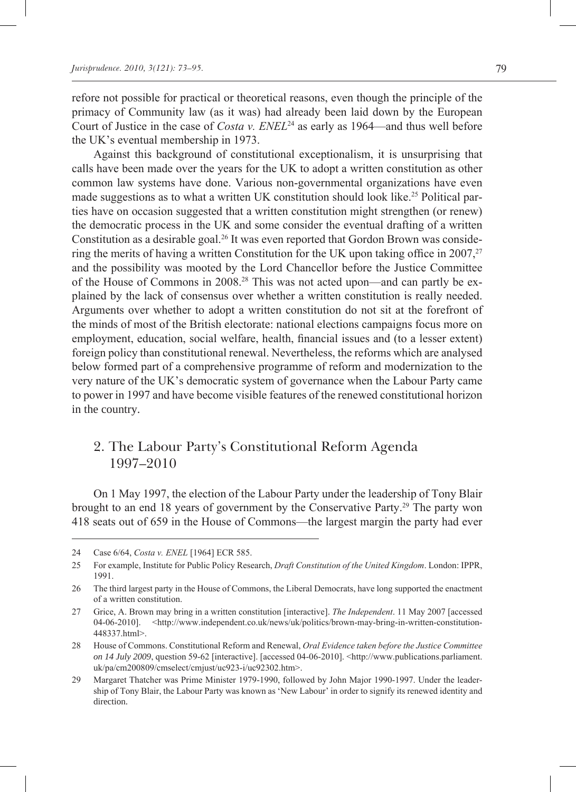refore not possible for practical or theoretical reasons, even though the principle of the primacy of Community law (as it was) had already been laid down by the European Court of Justice in the case of *Costa v. ENEL*24 as early as 1964—and thus well before the UK's eventual membership in 1973.

Against this background of constitutional exceptionalism, it is unsurprising that calls have been made over the years for the UK to adopt a written constitution as other common law systems have done. Various non-governmental organizations have even made suggestions as to what a written UK constitution should look like.<sup>25</sup> Political parties have on occasion suggested that a written constitution might strengthen (or renew) the democratic process in the UK and some consider the eventual drafting of a written Constitution as a desirable goal.<sup>26</sup> It was even reported that Gordon Brown was considering the merits of having a written Constitution for the UK upon taking office in 2007,  $27$ and the possibility was mooted by the Lord Chancellor before the Justice Committee of the House of Commons in 2008.28 This was not acted upon—and can partly be explained by the lack of consensus over whether a written constitution is really needed. Arguments over whether to adopt a written constitution do not sit at the forefront of the minds of most of the British electorate: national elections campaigns focus more on employment, education, social welfare, health, financial issues and (to a lesser extent) foreign policy than constitutional renewal. Nevertheless, the reforms which are analysed below formed part of a comprehensive programme of reform and modernization to the very nature of the UK's democratic system of governance when the Labour Party came to power in 1997 and have become visible features of the renewed constitutional horizon in the country.

## 2. The Labour Party's Constitutional Reform Agenda 1997–2010

On 1 May 1997, the election of the Labour Party under the leadership of Tony Blair brought to an end 18 years of government by the Conservative Party.29 The party won 418 seats out of 659 in the House of Commons—the largest margin the party had ever

<sup>24</sup> Case 6/64, *Costa v. ENEL* [1964] ECR 585.

<sup>25</sup> For example, Institute for Public Policy Research, *Draft Constitution of the United Kingdom*. London: IPPR, 1991.

<sup>26</sup> The third largest party in the House of Commons, the Liberal Democrats, have long supported the enactment of a written constitution.

<sup>27</sup> Grice, A. Brown may bring in a written constitution [interactive]. *The Independent*. 11 May 2007 [accessed 04-06-2010]. <http://www.independent.co.uk/news/uk/politics/brown-may-bring-in-written-constitution-448337.html>.

<sup>28</sup> House of Commons. Constitutional Reform and Renewal, *Oral Evidence taken before the Justice Committee on 14 July 2009*, question 59-62 [interactive]. [accessed 04-06-2010]. <http://www.publications.parliament. uk/pa/cm200809/cmselect/cmjust/uc923-i/uc92302.htm>.

<sup>29</sup> Margaret Thatcher was Prime Minister 1979-1990, followed by John Major 1990-1997. Under the leadership of Tony Blair, the Labour Party was known as 'New Labour' in order to signify its renewed identity and direction.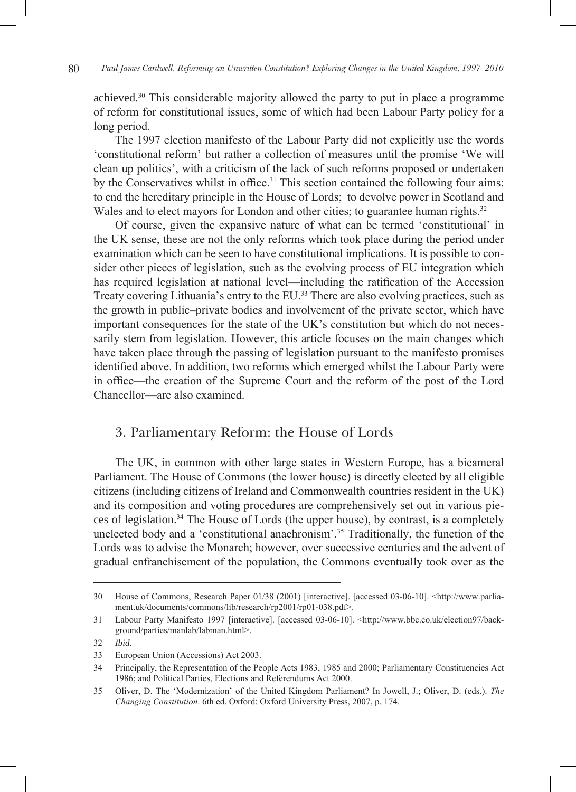achieved.30 This considerable majority allowed the party to put in place a programme of reform for constitutional issues, some of which had been Labour Party policy for a long period.

The 1997 election manifesto of the Labour Party did not explicitly use the words 'constitutional reform' but rather a collection of measures until the promise 'We will clean up politics', with a criticism of the lack of such reforms proposed or undertaken by the Conservatives whilst in office.31 This section contained the following four aims: to end the hereditary principle in the House of Lords; to devolve power in Scotland and Wales and to elect mayors for London and other cities; to guarantee human rights.<sup>32</sup>

Of course, given the expansive nature of what can be termed 'constitutional' in the UK sense, these are not the only reforms which took place during the period under examination which can be seen to have constitutional implications. It is possible to consider other pieces of legislation, such as the evolving process of EU integration which has required legislation at national level—including the ratification of the Accession Treaty covering Lithuania's entry to the EU.33 There are also evolving practices, such as the growth in public–private bodies and involvement of the private sector, which have important consequences for the state of the UK's constitution but which do not necessarily stem from legislation. However, this article focuses on the main changes which have taken place through the passing of legislation pursuant to the manifesto promises identified above. In addition, two reforms which emerged whilst the Labour Party were in office—the creation of the Supreme Court and the reform of the post of the Lord Chancellor—are also examined.

### 3. Parliamentary Reform: the House of Lords

The UK, in common with other large states in Western Europe, has a bicameral Parliament. The House of Commons (the lower house) is directly elected by all eligible citizens (including citizens of Ireland and Commonwealth countries resident in the UK) and its composition and voting procedures are comprehensively set out in various pieces of legislation.34 The House of Lords (the upper house), by contrast, is a completely unelected body and a 'constitutional anachronism'.35 Traditionally, the function of the Lords was to advise the Monarch; however, over successive centuries and the advent of gradual enfranchisement of the population, the Commons eventually took over as the

<sup>30</sup> House of Commons, Research Paper 01/38 (2001) [interactive]. [accessed 03-06-10]. <http://www.parliament.uk/documents/commons/lib/research/rp2001/rp01-038.pdf>.

<sup>31</sup> Labour Party Manifesto 1997 [interactive]. [accessed 03-06-10]. <http://www.bbc.co.uk/election97/background/parties/manlab/labman.html>.

<sup>32</sup> *Ibid*.

<sup>33</sup> European Union (Accessions) Act 2003.

<sup>34</sup> Principally, the Representation of the People Acts 1983, 1985 and 2000; Parliamentary Constituencies Act 1986; and Political Parties, Elections and Referendums Act 2000.

<sup>35</sup> Oliver, D. The 'Modernization' of the United Kingdom Parliament? In Jowell, J.; Oliver, D. (eds.). *The Changing Constitution*. 6th ed. Oxford: Oxford University Press, 2007, p. 174.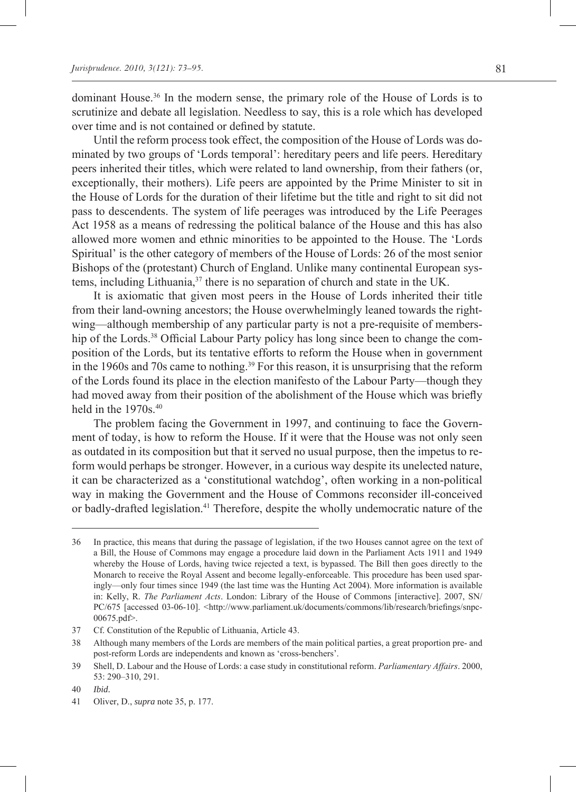dominant House.36 In the modern sense, the primary role of the House of Lords is to scrutinize and debate all legislation. Needless to say, this is a role which has developed over time and is not contained or defined by statute.

Until the reform process took effect, the composition of the House of Lords was dominated by two groups of 'Lords temporal': hereditary peers and life peers. Hereditary peers inherited their titles, which were related to land ownership, from their fathers (or, exceptionally, their mothers). Life peers are appointed by the Prime Minister to sit in the House of Lords for the duration of their lifetime but the title and right to sit did not pass to descendents. The system of life peerages was introduced by the Life Peerages Act 1958 as a means of redressing the political balance of the House and this has also allowed more women and ethnic minorities to be appointed to the House. The 'Lords Spiritual' is the other category of members of the House of Lords: 26 of the most senior Bishops of the (protestant) Church of England. Unlike many continental European systems, including Lithuania, $37$  there is no separation of church and state in the UK.

It is axiomatic that given most peers in the House of Lords inherited their title from their land-owning ancestors; the House overwhelmingly leaned towards the rightwing—although membership of any particular party is not a pre-requisite of membership of the Lords.<sup>38</sup> Official Labour Party policy has long since been to change the composition of the Lords, but its tentative efforts to reform the House when in government in the 1960s and 70s came to nothing.<sup>39</sup> For this reason, it is unsurprising that the reform of the Lords found its place in the election manifesto of the Labour Party—though they had moved away from their position of the abolishment of the House which was briefly held in the 1970s.<sup>40</sup>

The problem facing the Government in 1997, and continuing to face the Government of today, is how to reform the House. If it were that the House was not only seen as outdated in its composition but that it served no usual purpose, then the impetus to reform would perhaps be stronger. However, in a curious way despite its unelected nature, it can be characterized as a 'constitutional watchdog', often working in a non-political way in making the Government and the House of Commons reconsider ill-conceived or badly-drafted legislation.<sup>41</sup> Therefore, despite the wholly undemocratic nature of the

<sup>36</sup> In practice, this means that during the passage of legislation, if the two Houses cannot agree on the text of a Bill, the House of Commons may engage a procedure laid down in the Parliament Acts 1911 and 1949 whereby the House of Lords, having twice rejected a text, is bypassed. The Bill then goes directly to the Monarch to receive the Royal Assent and become legally-enforceable. This procedure has been used sparingly—only four times since 1949 (the last time was the Hunting Act 2004). More information is available in: Kelly, R. *The Parliament Acts*. London: Library of the House of Commons [interactive]. 2007, SN/ PC/675 [accessed 03-06-10]. <http://www.parliament.uk/documents/commons/lib/research/briefings/snpc-00675.pdf>.

<sup>37</sup> Cf. Constitution of the Republic of Lithuania, Article 43.

<sup>38</sup> Although many members of the Lords are members of the main political parties, a great proportion pre- and post-reform Lords are independents and known as 'cross-benchers'.

<sup>39</sup> Shell, D. Labour and the House of Lords: a case study in constitutional reform. *Parliamentary Affairs*. 2000, 53: 290–310, 291.

<sup>40</sup> *Ibid*.

<sup>41</sup> Oliver, D., *supra* note 35, p. 177.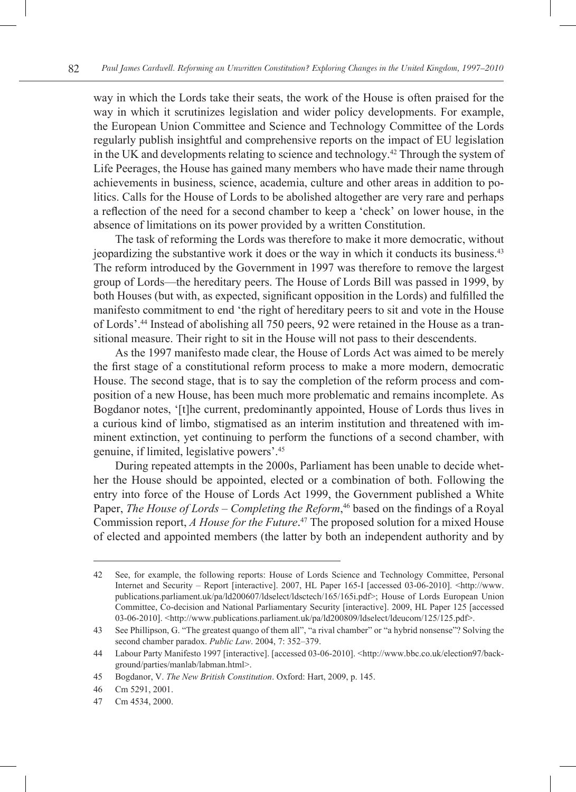way in which the Lords take their seats, the work of the House is often praised for the way in which it scrutinizes legislation and wider policy developments. For example, the European Union Committee and Science and Technology Committee of the Lords regularly publish insightful and comprehensive reports on the impact of EU legislation in the UK and developments relating to science and technology.42 Through the system of Life Peerages, the House has gained many members who have made their name through achievements in business, science, academia, culture and other areas in addition to politics. Calls for the House of Lords to be abolished altogether are very rare and perhaps a reflection of the need for a second chamber to keep a 'check' on lower house, in the absence of limitations on its power provided by a written Constitution.

The task of reforming the Lords was therefore to make it more democratic, without jeopardizing the substantive work it does or the way in which it conducts its business.43 The reform introduced by the Government in 1997 was therefore to remove the largest group of Lords—the hereditary peers. The House of Lords Bill was passed in 1999, by both Houses (but with, as expected, significant opposition in the Lords) and fulfilled the manifesto commitment to end 'the right of hereditary peers to sit and vote in the House of Lords'.44 Instead of abolishing all 750 peers, 92 were retained in the House as a transitional measure. Their right to sit in the House will not pass to their descendents.

As the 1997 manifesto made clear, the House of Lords Act was aimed to be merely the first stage of a constitutional reform process to make a more modern, democratic House. The second stage, that is to say the completion of the reform process and composition of a new House, has been much more problematic and remains incomplete. As Bogdanor notes, '[t]he current, predominantly appointed, House of Lords thus lives in a curious kind of limbo, stigmatised as an interim institution and threatened with imminent extinction, yet continuing to perform the functions of a second chamber, with genuine, if limited, legislative powers'.45

During repeated attempts in the 2000s, Parliament has been unable to decide whether the House should be appointed, elected or a combination of both. Following the entry into force of the House of Lords Act 1999, the Government published a White Paper, *The House of Lords – Completing the Reform*, 46 based on the findings of a Royal Commission report, *A House for the Future*. 47 The proposed solution for a mixed House of elected and appointed members (the latter by both an independent authority and by

<sup>42</sup> See, for example, the following reports: House of Lords Science and Technology Committee, Personal Internet and Security – Report [interactive]. 2007, HL Paper 165-I [accessed 03-06-2010]. <http://www. publications.parliament.uk/pa/ld200607/ldselect/ldsctech/165/165i.pdf>; House of Lords European Union Committee, Co-decision and National Parliamentary Security [interactive]. 2009, HL Paper 125 [accessed 03-06-2010]. <http://www.publications.parliament.uk/pa/ld200809/ldselect/ldeucom/125/125.pdf>.

<sup>43</sup> See Phillipson, G. "The greatest quango of them all", "a rival chamber" or "a hybrid nonsense"? Solving the second chamber paradox. *Public Law*. 2004, 7: 352–379.

<sup>44</sup> Labour Party Manifesto 1997 [interactive]. [accessed 03-06-2010]. <http://www.bbc.co.uk/election97/background/parties/manlab/labman.html>.

<sup>45</sup> Bogdanor, V. *The New British Constitution*. Oxford: Hart, 2009, p. 145.

<sup>46</sup> Cm 5291, 2001.

<sup>47</sup> Cm 4534, 2000.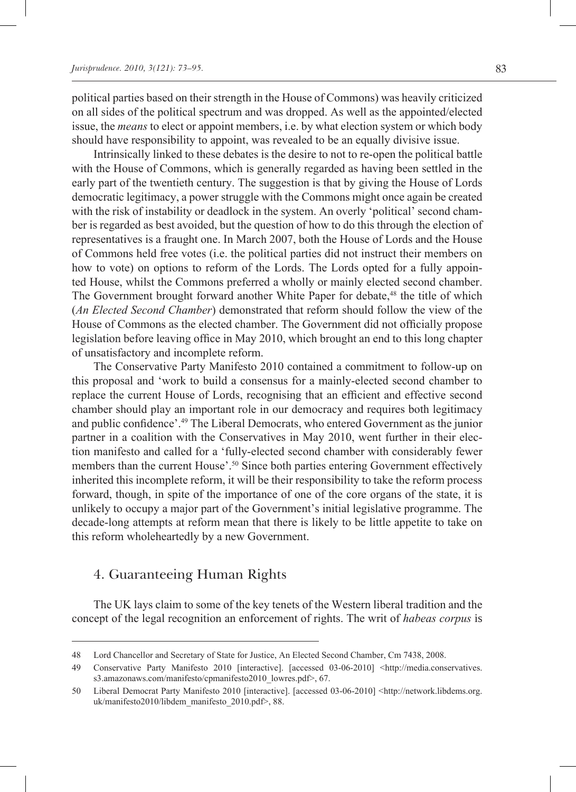political parties based on their strength in the House of Commons) was heavily criticized on all sides of the political spectrum and was dropped. As well as the appointed/elected issue, the *means* to elect or appoint members, i.e. by what election system or which body should have responsibility to appoint, was revealed to be an equally divisive issue.

Intrinsically linked to these debates is the desire to not to re-open the political battle with the House of Commons, which is generally regarded as having been settled in the early part of the twentieth century. The suggestion is that by giving the House of Lords democratic legitimacy, a power struggle with the Commons might once again be created with the risk of instability or deadlock in the system. An overly 'political' second chamber is regarded as best avoided, but the question of how to do this through the election of representatives is a fraught one. In March 2007, both the House of Lords and the House of Commons held free votes (i.e. the political parties did not instruct their members on how to vote) on options to reform of the Lords. The Lords opted for a fully appointed House, whilst the Commons preferred a wholly or mainly elected second chamber. The Government brought forward another White Paper for debate,<sup>48</sup> the title of which (*An Elected Second Chamber*) demonstrated that reform should follow the view of the House of Commons as the elected chamber. The Government did not officially propose legislation before leaving office in May 2010, which brought an end to this long chapter of unsatisfactory and incomplete reform.

The Conservative Party Manifesto 2010 contained a commitment to follow-up on this proposal and 'work to build a consensus for a mainly-elected second chamber to replace the current House of Lords, recognising that an efficient and effective second chamber should play an important role in our democracy and requires both legitimacy and public confidence'.49 The Liberal Democrats, who entered Government as the junior partner in a coalition with the Conservatives in May 2010, went further in their election manifesto and called for a 'fully-elected second chamber with considerably fewer members than the current House'.<sup>50</sup> Since both parties entering Government effectively inherited this incomplete reform, it will be their responsibility to take the reform process forward, though, in spite of the importance of one of the core organs of the state, it is unlikely to occupy a major part of the Government's initial legislative programme. The decade-long attempts at reform mean that there is likely to be little appetite to take on this reform wholeheartedly by a new Government.

## 4. Guaranteeing Human Rights

The UK lays claim to some of the key tenets of the Western liberal tradition and the concept of the legal recognition an enforcement of rights. The writ of *habeas corpus* is

<sup>48</sup> Lord Chancellor and Secretary of State for Justice, An Elected Second Chamber, Cm 7438, 2008.

<sup>49</sup> Conservative Party Manifesto 2010 [interactive]. [accessed 03-06-2010] <http://media.conservatives. s3.amazonaws.com/manifesto/cpmanifesto2010\_lowres.pdf>, 67.

<sup>50</sup> Liberal Democrat Party Manifesto 2010 [interactive]. [accessed 03-06-2010] <http://network.libdems.org. uk/manifesto2010/libdem\_manifesto\_2010.pdf>, 88.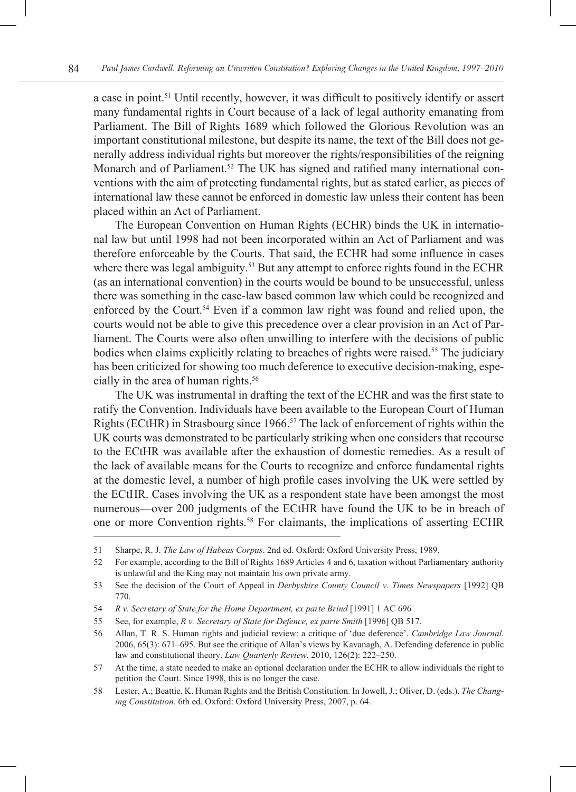a case in point.51 Until recently, however, it was difficult to positively identify or assert many fundamental rights in Court because of a lack of legal authority emanating from Parliament. The Bill of Rights 1689 which followed the Glorious Revolution was an important constitutional milestone, but despite its name, the text of the Bill does not generally address individual rights but moreover the rights/responsibilities of the reigning Monarch and of Parliament.<sup>52</sup> The UK has signed and ratified many international conventions with the aim of protecting fundamental rights, but as stated earlier, as pieces of international law these cannot be enforced in domestic law unless their content has been placed within an Act of Parliament.

The European Convention on Human Rights (ECHR) binds the UK in international law but until 1998 had not been incorporated within an Act of Parliament and was therefore enforceable by the Courts. That said, the ECHR had some influence in cases where there was legal ambiguity.<sup>53</sup> But any attempt to enforce rights found in the ECHR (as an international convention) in the courts would be bound to be unsuccessful, unless there was something in the case-law based common law which could be recognized and enforced by the Court.54 Even if a common law right was found and relied upon, the courts would not be able to give this precedence over a clear provision in an Act of Parliament. The Courts were also often unwilling to interfere with the decisions of public bodies when claims explicitly relating to breaches of rights were raised.55 The judiciary has been criticized for showing too much deference to executive decision-making, especially in the area of human rights.<sup>56</sup>

The UK was instrumental in drafting the text of the ECHR and was the first state to ratify the Convention. Individuals have been available to the European Court of Human Rights (ECtHR) in Strasbourg since  $1966$ .<sup>57</sup> The lack of enforcement of rights within the UK courts was demonstrated to be particularly striking when one considers that recourse to the ECtHR was available after the exhaustion of domestic remedies. As a result of the lack of available means for the Courts to recognize and enforce fundamental rights at the domestic level, a number of high profile cases involving the UK were settled by the ECtHR. Cases involving the UK as a respondent state have been amongst the most numerous—over 200 judgments of the ECtHR have found the UK to be in breach of one or more Convention rights.58 For claimants, the implications of asserting ECHR

<sup>51</sup> Sharpe, R. J. *The Law of Habeas Corpus*. 2nd ed. Oxford: Oxford University Press, 1989.

<sup>52</sup> For example, according to the Bill of Rights 1689 Articles 4 and 6, taxation without Parliamentary authority is unlawful and the King may not maintain his own private army.

<sup>53</sup> See the decision of the Court of Appeal in *Derbyshire County Council v. Times Newspapers* [1992] QB 770.

<sup>54</sup> *R v. Secretary of State for the Home Department, ex parte Brind* [1991] 1 AC 696

<sup>55</sup> See, for example, *R v. Secretary of State for Defence, ex parte Smith* [1996] QB 517.

<sup>56</sup> Allan, T. R. S. Human rights and judicial review: a critique of 'due deference'. *Cambridge Law Journal*. 2006, 65(3): 671–695. But see the critique of Allan's views by Kavanagh, A. Defending deference in public law and constitutional theory. *Law Quarterly Review*. 2010, 126(2): 222–250.

<sup>57</sup> At the time, a state needed to make an optional declaration under the ECHR to allow individuals the right to petition the Court. Since 1998, this is no longer the case.

<sup>58</sup> Lester, A.; Beattie, K. Human Rights and the British Constitution. In Jowell, J.; Oliver, D. (eds.). *The Changing Constitution*. 6th ed. Oxford: Oxford University Press, 2007, p. 64.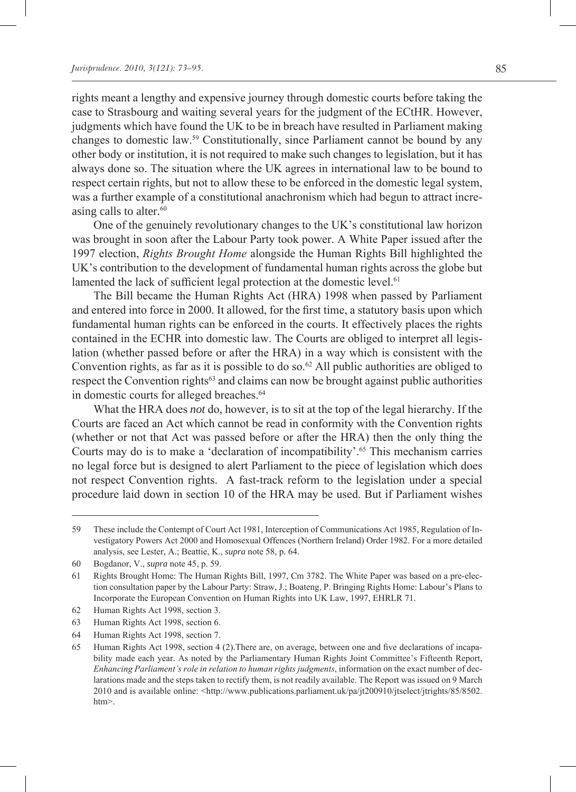rights meant a lengthy and expensive journey through domestic courts before taking the case to Strasbourg and waiting several years for the judgment of the ECtHR. However, judgments which have found the UK to be in breach have resulted in Parliament making changes to domestic law.59 Constitutionally, since Parliament cannot be bound by any other body or institution, it is not required to make such changes to legislation, but it has always done so. The situation where the UK agrees in international law to be bound to respect certain rights, but not to allow these to be enforced in the domestic legal system, was a further example of a constitutional anachronism which had begun to attract increasing calls to alter. $60$ 

One of the genuinely revolutionary changes to the UK's constitutional law horizon was brought in soon after the Labour Party took power. A White Paper issued after the 1997 election, *Rights Brought Home* alongside the Human Rights Bill highlighted the UK's contribution to the development of fundamental human rights across the globe but lamented the lack of sufficient legal protection at the domestic level.<sup>61</sup>

The Bill became the Human Rights Act (HRA) 1998 when passed by Parliament and entered into force in 2000. It allowed, for the first time, a statutory basis upon which fundamental human rights can be enforced in the courts. It effectively places the rights contained in the ECHR into domestic law. The Courts are obliged to interpret all legislation (whether passed before or after the HRA) in a way which is consistent with the Convention rights, as far as it is possible to do so.<sup>62</sup> All public authorities are obliged to respect the Convention rights<sup>63</sup> and claims can now be brought against public authorities in domestic courts for alleged breaches.<sup>64</sup>

What the HRA does *not* do, however, is to sit at the top of the legal hierarchy. If the Courts are faced an Act which cannot be read in conformity with the Convention rights (whether or not that Act was passed before or after the HRA) then the only thing the Courts may do is to make a 'declaration of incompatibility'.<sup>65</sup> This mechanism carries no legal force but is designed to alert Parliament to the piece of legislation which does not respect Convention rights. A fast-track reform to the legislation under a special procedure laid down in section 10 of the HRA may be used. But if Parliament wishes

<sup>59</sup> These include the Contempt of Court Act 1981, Interception of Communications Act 1985, Regulation of Investigatory Powers Act 2000 and Homosexual Offences (Northern Ireland) Order 1982. For a more detailed analysis, see Lester, A.; Beattie, K., *supra* note 58, p. 64.

<sup>60</sup> Bogdanor, V., *supra* note 45, p. 59.

<sup>61</sup> Rights Brought Home: The Human Rights Bill, 1997, Cm 3782. The White Paper was based on a pre-election consultation paper by the Labour Party: Straw, J.; Boateng, P. Bringing Rights Home: Labour's Plans to Incorporate the European Convention on Human Rights into UK Law, 1997, EHRLR 71.

<sup>62</sup> Human Rights Act 1998, section 3.

<sup>63</sup> Human Rights Act 1998, section 6.

<sup>64</sup> Human Rights Act 1998, section 7.

<sup>65</sup> Human Rights Act 1998, section 4 (2).There are, on average, between one and five declarations of incapability made each year. As noted by the Parliamentary Human Rights Joint Committee's Fifteenth Report, *Enhancing Parliament's role in relation to human rights judgments*, information on the exact number of declarations made and the steps taken to rectify them, is not readily available. The Report was issued on 9 March 2010 and is available online: <http://www.publications.parliament.uk/pa/jt200910/jtselect/jtrights/85/8502. htm>.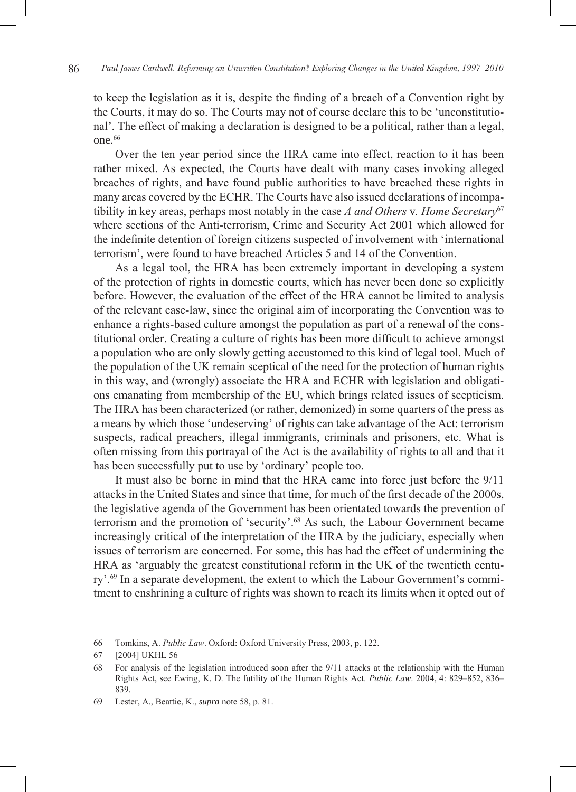to keep the legislation as it is, despite the finding of a breach of a Convention right by the Courts, it may do so. The Courts may not of course declare this to be 'unconstitutional'. The effect of making a declaration is designed to be a political, rather than a legal, one.<sup>66</sup>

Over the ten year period since the HRA came into effect, reaction to it has been rather mixed. As expected, the Courts have dealt with many cases invoking alleged breaches of rights, and have found public authorities to have breached these rights in many areas covered by the ECHR. The Courts have also issued declarations of incompatibility in key areas, perhaps most notably in the case *A and Others* v*. Home Secretary*<sup>67</sup> where sections of the Anti-terrorism, Crime and Security Act 2001 which allowed for the indefinite detention of foreign citizens suspected of involvement with 'international terrorism', were found to have breached Articles 5 and 14 of the Convention.

As a legal tool, the HRA has been extremely important in developing a system of the protection of rights in domestic courts, which has never been done so explicitly before. However, the evaluation of the effect of the HRA cannot be limited to analysis of the relevant case-law, since the original aim of incorporating the Convention was to enhance a rights-based culture amongst the population as part of a renewal of the constitutional order. Creating a culture of rights has been more difficult to achieve amongst a population who are only slowly getting accustomed to this kind of legal tool. Much of the population of the UK remain sceptical of the need for the protection of human rights in this way, and (wrongly) associate the HRA and ECHR with legislation and obligations emanating from membership of the EU, which brings related issues of scepticism. The HRA has been characterized (or rather, demonized) in some quarters of the press as a means by which those 'undeserving' of rights can take advantage of the Act: terrorism suspects, radical preachers, illegal immigrants, criminals and prisoners, etc. What is often missing from this portrayal of the Act is the availability of rights to all and that it has been successfully put to use by 'ordinary' people too.

It must also be borne in mind that the HRA came into force just before the 9/11 attacks in the United States and since that time, for much of the first decade of the 2000s, the legislative agenda of the Government has been orientated towards the prevention of terrorism and the promotion of 'security'.<sup>68</sup> As such, the Labour Government became increasingly critical of the interpretation of the HRA by the judiciary, especially when issues of terrorism are concerned. For some, this has had the effect of undermining the HRA as 'arguably the greatest constitutional reform in the UK of the twentieth century'.69 In a separate development, the extent to which the Labour Government's commitment to enshrining a culture of rights was shown to reach its limits when it opted out of

<sup>66</sup> Tomkins, A. *Public Law*. Oxford: Oxford University Press, 2003, p. 122.

<sup>67</sup> [2004] UKHL 56

<sup>68</sup> For analysis of the legislation introduced soon after the 9/11 attacks at the relationship with the Human Rights Act, see Ewing, K. D. The futility of the Human Rights Act. *Public Law*. 2004, 4: 829–852, 836– 839.

<sup>69</sup> Lester, A., Beattie, K., *supra* note 58, p. 81.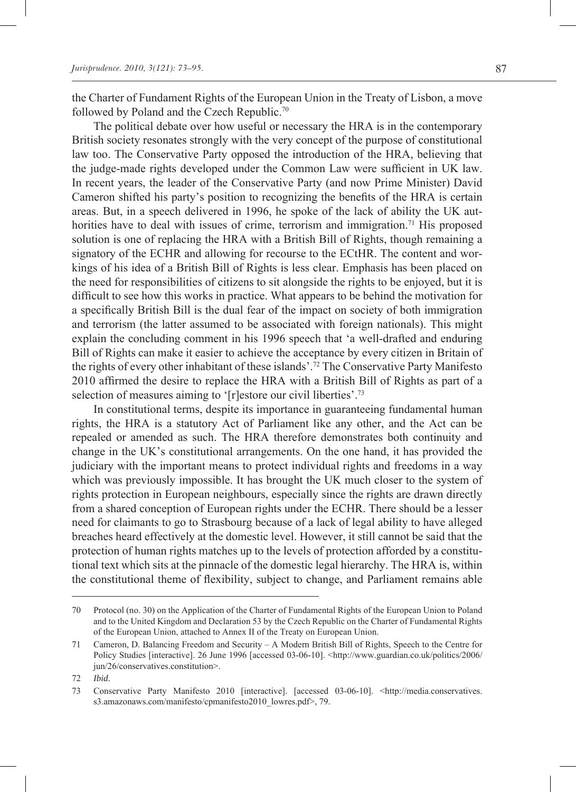the Charter of Fundament Rights of the European Union in the Treaty of Lisbon, a move followed by Poland and the Czech Republic.<sup>70</sup>

The political debate over how useful or necessary the HRA is in the contemporary British society resonates strongly with the very concept of the purpose of constitutional law too. The Conservative Party opposed the introduction of the HRA, believing that the judge-made rights developed under the Common Law were sufficient in UK law. In recent years, the leader of the Conservative Party (and now Prime Minister) David Cameron shifted his party's position to recognizing the benefits of the HRA is certain areas. But, in a speech delivered in 1996, he spoke of the lack of ability the UK authorities have to deal with issues of crime, terrorism and immigration.<sup>71</sup> His proposed solution is one of replacing the HRA with a British Bill of Rights, though remaining a signatory of the ECHR and allowing for recourse to the ECtHR. The content and workings of his idea of a British Bill of Rights is less clear. Emphasis has been placed on the need for responsibilities of citizens to sit alongside the rights to be enjoyed, but it is difficult to see how this works in practice. What appears to be behind the motivation for a specifically British Bill is the dual fear of the impact on society of both immigration and terrorism (the latter assumed to be associated with foreign nationals). This might explain the concluding comment in his 1996 speech that 'a well-drafted and enduring Bill of Rights can make it easier to achieve the acceptance by every citizen in Britain of the rights of every other inhabitant of these islands'.72 The Conservative Party Manifesto 2010 affirmed the desire to replace the HRA with a British Bill of Rights as part of a selection of measures aiming to '[r]estore our civil liberties'.<sup>73</sup>

In constitutional terms, despite its importance in guaranteeing fundamental human rights, the HRA is a statutory Act of Parliament like any other, and the Act can be repealed or amended as such. The HRA therefore demonstrates both continuity and change in the UK's constitutional arrangements. On the one hand, it has provided the judiciary with the important means to protect individual rights and freedoms in a way which was previously impossible. It has brought the UK much closer to the system of rights protection in European neighbours, especially since the rights are drawn directly from a shared conception of European rights under the ECHR. There should be a lesser need for claimants to go to Strasbourg because of a lack of legal ability to have alleged breaches heard effectively at the domestic level. However, it still cannot be said that the protection of human rights matches up to the levels of protection afforded by a constitutional text which sits at the pinnacle of the domestic legal hierarchy. The HRA is, within the constitutional theme of flexibility, subject to change, and Parliament remains able

<sup>70</sup> Protocol (no. 30) on the Application of the Charter of Fundamental Rights of the European Union to Poland and to the United Kingdom and Declaration 53 by the Czech Republic on the Charter of Fundamental Rights of the European Union, attached to Annex II of the Treaty on European Union.

<sup>71</sup> Cameron, D. Balancing Freedom and Security – A Modern British Bill of Rights, Speech to the Centre for Policy Studies [interactive]. 26 June 1996 [accessed 03-06-10]. <http://www.guardian.co.uk/politics/2006/ jun/26/conservatives.constitution>.

<sup>72</sup> *Ibid*.

<sup>73</sup> Conservative Party Manifesto 2010 [interactive]. [accessed 03-06-10]. <http://media.conservatives. s3.amazonaws.com/manifesto/cpmanifesto2010\_lowres.pdf>, 79.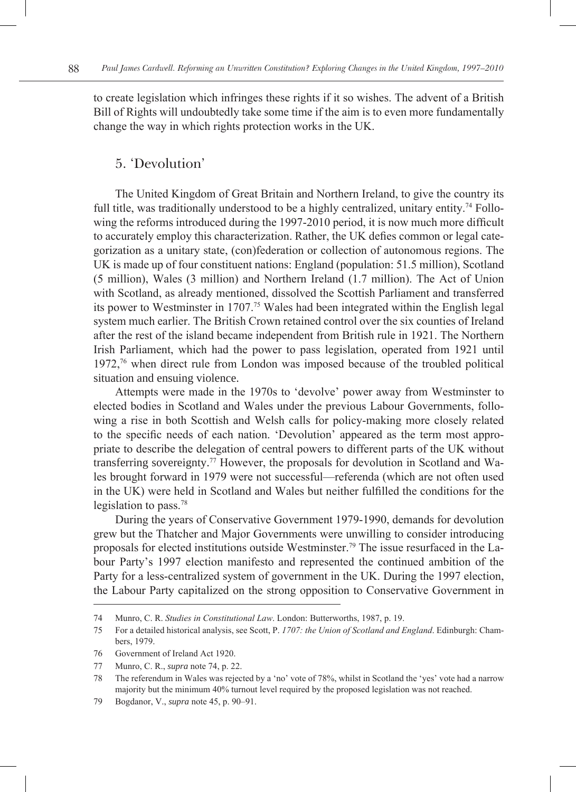to create legislation which infringes these rights if it so wishes. The advent of a British Bill of Rights will undoubtedly take some time if the aim is to even more fundamentally change the way in which rights protection works in the UK.

#### 5. 'Devolution'

The United Kingdom of Great Britain and Northern Ireland, to give the country its full title, was traditionally understood to be a highly centralized, unitary entity.<sup>74</sup> Following the reforms introduced during the 1997-2010 period, it is now much more difficult to accurately employ this characterization. Rather, the UK defies common or legal categorization as a unitary state, (con)federation or collection of autonomous regions. The UK is made up of four constituent nations: England (population: 51.5 million), Scotland (5 million), Wales (3 million) and Northern Ireland (1.7 million). The Act of Union with Scotland, as already mentioned, dissolved the Scottish Parliament and transferred its power to Westminster in 1707.75 Wales had been integrated within the English legal system much earlier. The British Crown retained control over the six counties of Ireland after the rest of the island became independent from British rule in 1921. The Northern Irish Parliament, which had the power to pass legislation, operated from 1921 until 1972,76 when direct rule from London was imposed because of the troubled political situation and ensuing violence.

Attempts were made in the 1970s to 'devolve' power away from Westminster to elected bodies in Scotland and Wales under the previous Labour Governments, following a rise in both Scottish and Welsh calls for policy-making more closely related to the specific needs of each nation. 'Devolution' appeared as the term most appropriate to describe the delegation of central powers to different parts of the UK without transferring sovereignty.77 However, the proposals for devolution in Scotland and Wales brought forward in 1979 were not successful—referenda (which are not often used in the UK) were held in Scotland and Wales but neither fulfilled the conditions for the legislation to pass.78

During the years of Conservative Government 1979-1990, demands for devolution grew but the Thatcher and Major Governments were unwilling to consider introducing proposals for elected institutions outside Westminster.79 The issue resurfaced in the Labour Party's 1997 election manifesto and represented the continued ambition of the Party for a less-centralized system of government in the UK. During the 1997 election, the Labour Party capitalized on the strong opposition to Conservative Government in

<sup>74</sup> Munro, C. R. *Studies in Constitutional Law*. London: Butterworths, 1987, p. 19.

<sup>75</sup> For a detailed historical analysis, see Scott, P. *1707: the Union of Scotland and England*. Edinburgh: Chambers, 1979.

<sup>76</sup> Government of Ireland Act 1920.

<sup>77</sup> Munro, C. R., *supra* note 74, p. 22.

<sup>78</sup> The referendum in Wales was rejected by a 'no' vote of 78%, whilst in Scotland the 'yes' vote had a narrow majority but the minimum 40% turnout level required by the proposed legislation was not reached.

<sup>79</sup> Bogdanor, V., *supra* note 45, p. 90–91.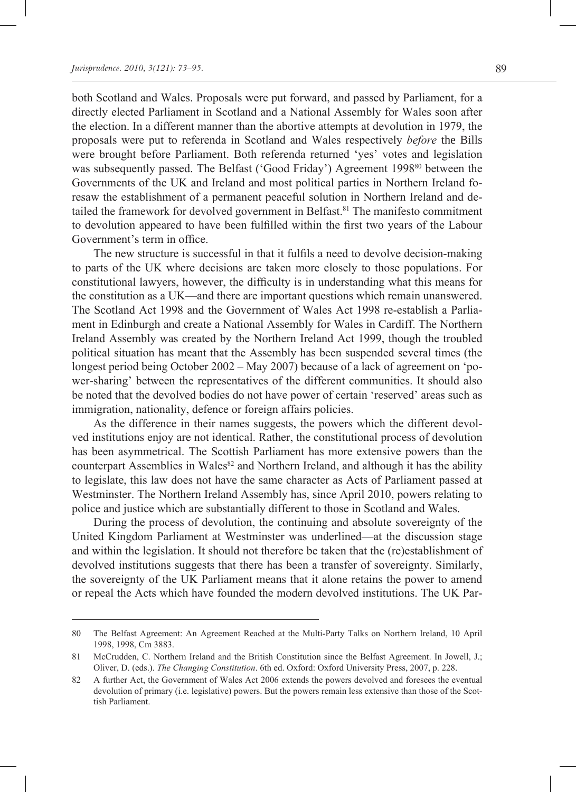both Scotland and Wales. Proposals were put forward, and passed by Parliament, for a directly elected Parliament in Scotland and a National Assembly for Wales soon after the election. In a different manner than the abortive attempts at devolution in 1979, the proposals were put to referenda in Scotland and Wales respectively *before* the Bills were brought before Parliament. Both referenda returned 'yes' votes and legislation was subsequently passed. The Belfast ('Good Friday') Agreement 1998<sup>80</sup> between the Governments of the UK and Ireland and most political parties in Northern Ireland foresaw the establishment of a permanent peaceful solution in Northern Ireland and detailed the framework for devolved government in Belfast.<sup>81</sup> The manifesto commitment to devolution appeared to have been fulfilled within the first two years of the Labour Government's term in office.

The new structure is successful in that it fulfils a need to devolve decision-making to parts of the UK where decisions are taken more closely to those populations. For constitutional lawyers, however, the difficulty is in understanding what this means for the constitution as a UK—and there are important questions which remain unanswered. The Scotland Act 1998 and the Government of Wales Act 1998 re-establish a Parliament in Edinburgh and create a National Assembly for Wales in Cardiff. The Northern Ireland Assembly was created by the Northern Ireland Act 1999, though the troubled political situation has meant that the Assembly has been suspended several times (the longest period being October 2002 – May 2007) because of a lack of agreement on 'power-sharing' between the representatives of the different communities. It should also be noted that the devolved bodies do not have power of certain 'reserved' areas such as immigration, nationality, defence or foreign affairs policies.

As the difference in their names suggests, the powers which the different devolved institutions enjoy are not identical. Rather, the constitutional process of devolution has been asymmetrical. The Scottish Parliament has more extensive powers than the counterpart Assemblies in Wales<sup>82</sup> and Northern Ireland, and although it has the ability to legislate, this law does not have the same character as Acts of Parliament passed at Westminster. The Northern Ireland Assembly has, since April 2010, powers relating to police and justice which are substantially different to those in Scotland and Wales.

During the process of devolution, the continuing and absolute sovereignty of the United Kingdom Parliament at Westminster was underlined—at the discussion stage and within the legislation. It should not therefore be taken that the (re)establishment of devolved institutions suggests that there has been a transfer of sovereignty. Similarly, the sovereignty of the UK Parliament means that it alone retains the power to amend or repeal the Acts which have founded the modern devolved institutions. The UK Par-

<sup>80</sup> The Belfast Agreement: An Agreement Reached at the Multi-Party Talks on Northern Ireland, 10 April 1998, 1998, Cm 3883.

<sup>81</sup> McCrudden, C. Northern Ireland and the British Constitution since the Belfast Agreement. In Jowell, J.; Oliver, D. (eds.). *The Changing Constitution*. 6th ed. Oxford: Oxford University Press, 2007, p. 228.

<sup>82</sup> A further Act, the Government of Wales Act 2006 extends the powers devolved and foresees the eventual devolution of primary (i.e. legislative) powers. But the powers remain less extensive than those of the Scottish Parliament.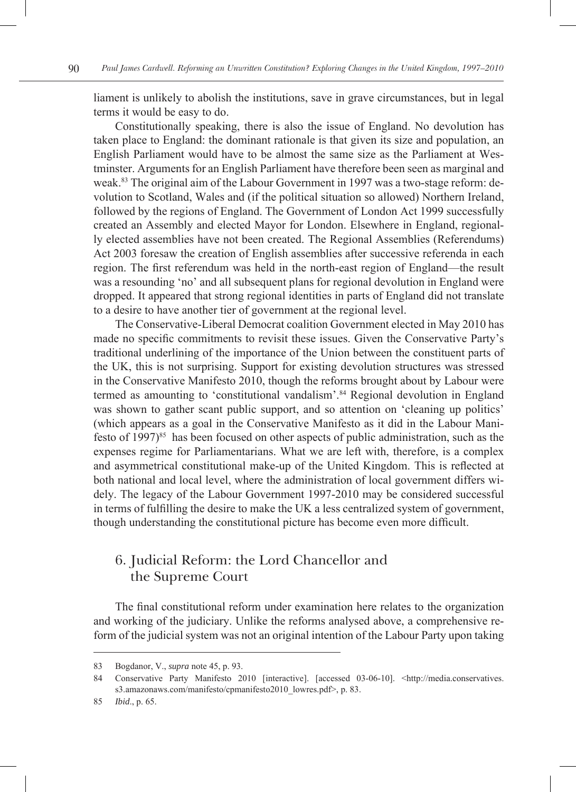liament is unlikely to abolish the institutions, save in grave circumstances, but in legal terms it would be easy to do.

Constitutionally speaking, there is also the issue of England. No devolution has taken place to England: the dominant rationale is that given its size and population, an English Parliament would have to be almost the same size as the Parliament at Westminster. Arguments for an English Parliament have therefore been seen as marginal and weak.83 The original aim of the Labour Government in 1997 was a two-stage reform: devolution to Scotland, Wales and (if the political situation so allowed) Northern Ireland, followed by the regions of England. The Government of London Act 1999 successfully created an Assembly and elected Mayor for London. Elsewhere in England, regionally elected assemblies have not been created. The Regional Assemblies (Referendums) Act 2003 foresaw the creation of English assemblies after successive referenda in each region. The first referendum was held in the north-east region of England—the result was a resounding 'no' and all subsequent plans for regional devolution in England were dropped. It appeared that strong regional identities in parts of England did not translate to a desire to have another tier of government at the regional level.

The Conservative-Liberal Democrat coalition Government elected in May 2010 has made no specific commitments to revisit these issues. Given the Conservative Party's traditional underlining of the importance of the Union between the constituent parts of the UK, this is not surprising. Support for existing devolution structures was stressed in the Conservative Manifesto 2010, though the reforms brought about by Labour were termed as amounting to 'constitutional vandalism'.84 Regional devolution in England was shown to gather scant public support, and so attention on 'cleaning up politics' (which appears as a goal in the Conservative Manifesto as it did in the Labour Manifesto of  $1997)^{85}$  has been focused on other aspects of public administration, such as the expenses regime for Parliamentarians. What we are left with, therefore, is a complex and asymmetrical constitutional make-up of the United Kingdom. This is reflected at both national and local level, where the administration of local government differs widely. The legacy of the Labour Government 1997-2010 may be considered successful in terms of fulfilling the desire to make the UK a less centralized system of government, though understanding the constitutional picture has become even more difficult.

## 6. Judicial Reform: the Lord Chancellor and the Supreme Court

The final constitutional reform under examination here relates to the organization and working of the judiciary. Unlike the reforms analysed above, a comprehensive reform of the judicial system was not an original intention of the Labour Party upon taking

<sup>83</sup> Bogdanor, V., *supra* note 45, p. 93.

<sup>84</sup> Conservative Party Manifesto 2010 [interactive]. [accessed 03-06-10]. <http://media.conservatives. s3.amazonaws.com/manifesto/cpmanifesto2010\_lowres.pdf>, p. 83.

<sup>85</sup> *Ibid*., p. 65.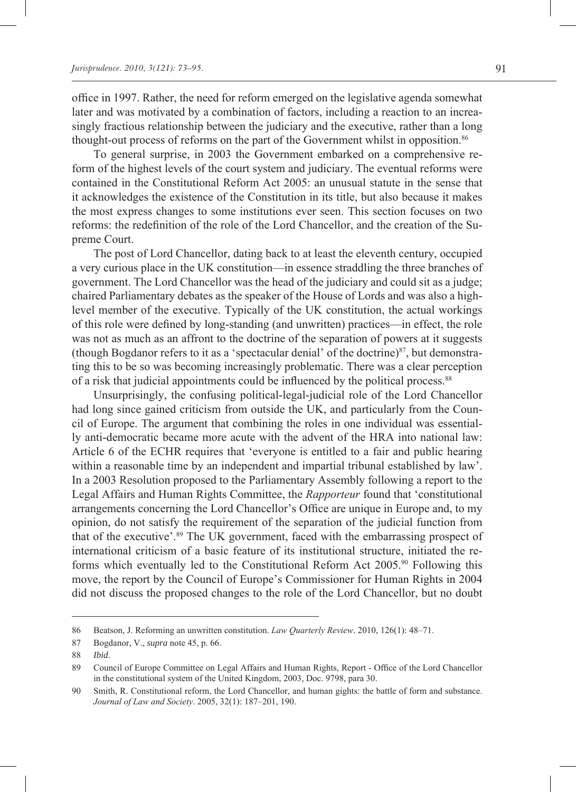office in 1997. Rather, the need for reform emerged on the legislative agenda somewhat later and was motivated by a combination of factors, including a reaction to an increasingly fractious relationship between the judiciary and the executive, rather than a long thought-out process of reforms on the part of the Government whilst in opposition.<sup>86</sup>

To general surprise, in 2003 the Government embarked on a comprehensive reform of the highest levels of the court system and judiciary. The eventual reforms were contained in the Constitutional Reform Act 2005: an unusual statute in the sense that it acknowledges the existence of the Constitution in its title, but also because it makes the most express changes to some institutions ever seen. This section focuses on two reforms: the redefinition of the role of the Lord Chancellor, and the creation of the Supreme Court.

The post of Lord Chancellor, dating back to at least the eleventh century, occupied a very curious place in the UK constitution—in essence straddling the three branches of government. The Lord Chancellor was the head of the judiciary and could sit as a judge; chaired Parliamentary debates as the speaker of the House of Lords and was also a highlevel member of the executive. Typically of the UK constitution, the actual workings of this role were defined by long-standing (and unwritten) practices—in effect, the role was not as much as an affront to the doctrine of the separation of powers at it suggests (though Bogdanor refers to it as a 'spectacular denial' of the doctrine) $^{87}$ , but demonstrating this to be so was becoming increasingly problematic. There was a clear perception of a risk that judicial appointments could be influenced by the political process.<sup>88</sup>

Unsurprisingly, the confusing political-legal-judicial role of the Lord Chancellor had long since gained criticism from outside the UK, and particularly from the Council of Europe. The argument that combining the roles in one individual was essentially anti-democratic became more acute with the advent of the HRA into national law: Article 6 of the ECHR requires that 'everyone is entitled to a fair and public hearing within a reasonable time by an independent and impartial tribunal established by law'. In a 2003 Resolution proposed to the Parliamentary Assembly following a report to the Legal Affairs and Human Rights Committee, the *Rapporteur* found that 'constitutional arrangements concerning the Lord Chancellor's Office are unique in Europe and, to my opinion, do not satisfy the requirement of the separation of the judicial function from that of the executive'.89 The UK government, faced with the embarrassing prospect of international criticism of a basic feature of its institutional structure, initiated the reforms which eventually led to the Constitutional Reform Act 2005.90 Following this move, the report by the Council of Europe's Commissioner for Human Rights in 2004 did not discuss the proposed changes to the role of the Lord Chancellor, but no doubt

<sup>86</sup> Beatson, J. Reforming an unwritten constitution. *Law Quarterly Review*. 2010, 126(1): 48–71.

<sup>87</sup> Bogdanor, V., *supra* note 45, p. 66.

<sup>88</sup> *Ibid*.

<sup>89</sup> Council of Europe Committee on Legal Affairs and Human Rights, Report - Office of the Lord Chancellor in the constitutional system of the United Kingdom, 2003, Doc. 9798, para 30.

<sup>90</sup> Smith, R. Constitutional reform, the Lord Chancellor, and human gights: the battle of form and substance. *Journal of Law and Society*. 2005, 32(1): 187–201, 190.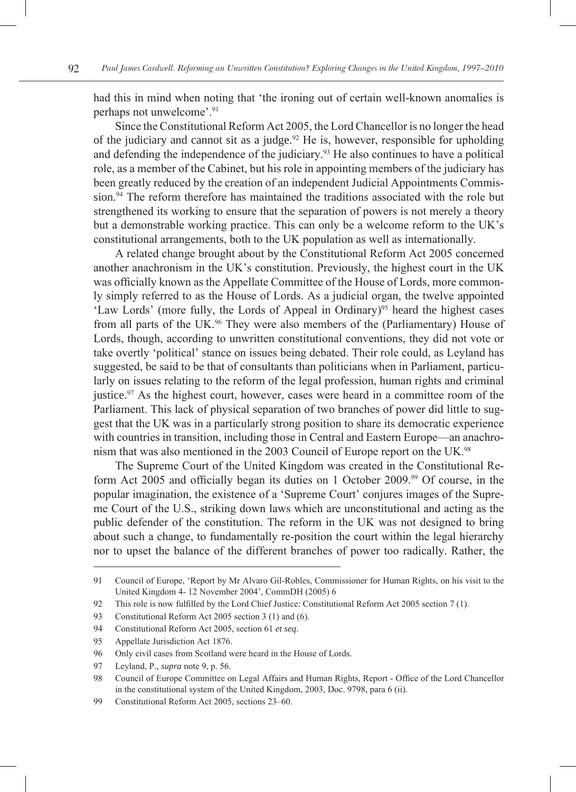had this in mind when noting that 'the ironing out of certain well-known anomalies is perhaps not unwelcome'.<sup>91</sup>

Since the Constitutional Reform Act 2005, the Lord Chancellor is no longer the head of the judiciary and cannot sit as a judge.<sup>92</sup> He is, however, responsible for upholding and defending the independence of the judiciary.<sup>93</sup> He also continues to have a political role, as a member of the Cabinet, but his role in appointing members of the judiciary has been greatly reduced by the creation of an independent Judicial Appointments Commission.<sup>94</sup> The reform therefore has maintained the traditions associated with the role but strengthened its working to ensure that the separation of powers is not merely a theory but a demonstrable working practice. This can only be a welcome reform to the UK's constitutional arrangements, both to the UK population as well as internationally.

A related change brought about by the Constitutional Reform Act 2005 concerned another anachronism in the UK's constitution. Previously, the highest court in the UK was officially known as the Appellate Committee of the House of Lords, more commonly simply referred to as the House of Lords. As a judicial organ, the twelve appointed 'Law Lords' (more fully, the Lords of Appeal in Ordinary)<sup>95</sup> heard the highest cases from all parts of the UK.<sup>96</sup> They were also members of the (Parliamentary) House of Lords, though, according to unwritten constitutional conventions, they did not vote or take overtly 'political' stance on issues being debated. Their role could, as Leyland has suggested, be said to be that of consultants than politicians when in Parliament, particularly on issues relating to the reform of the legal profession, human rights and criminal justice.97 As the highest court, however, cases were heard in a committee room of the Parliament. This lack of physical separation of two branches of power did little to suggest that the UK was in a particularly strong position to share its democratic experience with countries in transition, including those in Central and Eastern Europe—an anachronism that was also mentioned in the 2003 Council of Europe report on the UK.98

The Supreme Court of the United Kingdom was created in the Constitutional Reform Act 2005 and officially began its duties on 1 October 2009.99 Of course, in the popular imagination, the existence of a 'Supreme Court' conjures images of the Supreme Court of the U.S., striking down laws which are unconstitutional and acting as the public defender of the constitution. The reform in the UK was not designed to bring about such a change, to fundamentally re-position the court within the legal hierarchy nor to upset the balance of the different branches of power too radically. Rather, the

<sup>91</sup> Council of Europe, 'Report by Mr Alvaro Gil-Robles, Commissioner for Human Rights, on his visit to the United Kingdom 4- 12 November 2004', CommDH (2005) 6

<sup>92</sup> This role is now fulfilled by the Lord Chief Justice: Constitutional Reform Act 2005 section 7 (1).

<sup>93</sup> Constitutional Reform Act 2005 section 3 (1) and (6).

<sup>94</sup> Constitutional Reform Act 2005, section 61 *et seq*.

<sup>95</sup> Appellate Jurisdiction Act 1876.

<sup>96</sup> Only civil cases from Scotland were heard in the House of Lords.

<sup>97</sup> Leyland, P., *supra* note 9, p. 56.

<sup>98</sup> Council of Europe Committee on Legal Affairs and Human Rights, Report - Office of the Lord Chancellor in the constitutional system of the United Kingdom, 2003, Doc. 9798, para 6 (ii).

<sup>99</sup> Constitutional Reform Act 2005, sections 23–60.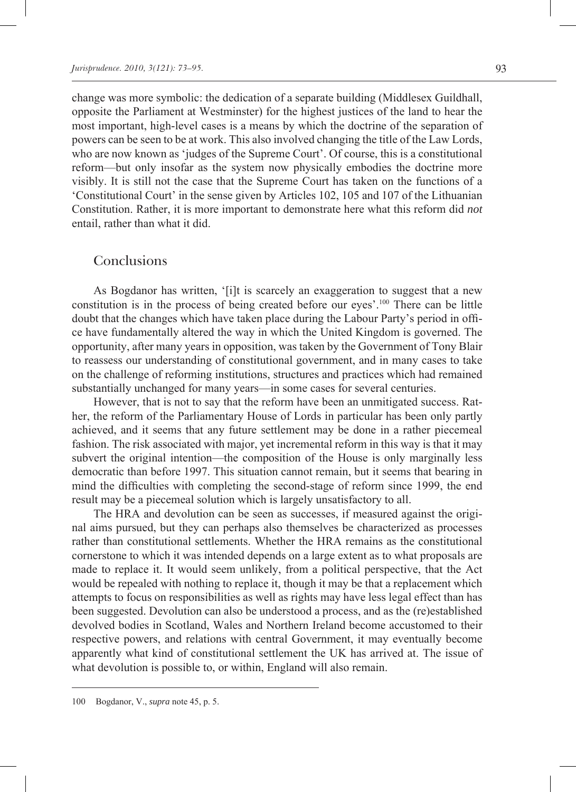change was more symbolic: the dedication of a separate building (Middlesex Guildhall, opposite the Parliament at Westminster) for the highest justices of the land to hear the most important, high-level cases is a means by which the doctrine of the separation of powers can be seen to be at work. This also involved changing the title of the Law Lords, who are now known as 'judges of the Supreme Court'. Of course, this is a constitutional reform—but only insofar as the system now physically embodies the doctrine more visibly. It is still not the case that the Supreme Court has taken on the functions of a 'Constitutional Court' in the sense given by Articles 102, 105 and 107 of the Lithuanian Constitution. Rather, it is more important to demonstrate here what this reform did *not* entail, rather than what it did.

#### Conclusions

As Bogdanor has written, '[i]t is scarcely an exaggeration to suggest that a new constitution is in the process of being created before our eyes'.100 There can be little doubt that the changes which have taken place during the Labour Party's period in office have fundamentally altered the way in which the United Kingdom is governed. The opportunity, after many years in opposition, was taken by the Government of Tony Blair to reassess our understanding of constitutional government, and in many cases to take on the challenge of reforming institutions, structures and practices which had remained substantially unchanged for many years—in some cases for several centuries.

However, that is not to say that the reform have been an unmitigated success. Rather, the reform of the Parliamentary House of Lords in particular has been only partly achieved, and it seems that any future settlement may be done in a rather piecemeal fashion. The risk associated with major, yet incremental reform in this way is that it may subvert the original intention—the composition of the House is only marginally less democratic than before 1997. This situation cannot remain, but it seems that bearing in mind the difficulties with completing the second-stage of reform since 1999, the end result may be a piecemeal solution which is largely unsatisfactory to all.

The HRA and devolution can be seen as successes, if measured against the original aims pursued, but they can perhaps also themselves be characterized as processes rather than constitutional settlements. Whether the HRA remains as the constitutional cornerstone to which it was intended depends on a large extent as to what proposals are made to replace it. It would seem unlikely, from a political perspective, that the Act would be repealed with nothing to replace it, though it may be that a replacement which attempts to focus on responsibilities as well as rights may have less legal effect than has been suggested. Devolution can also be understood a process, and as the (re)established devolved bodies in Scotland, Wales and Northern Ireland become accustomed to their respective powers, and relations with central Government, it may eventually become apparently what kind of constitutional settlement the UK has arrived at. The issue of what devolution is possible to, or within, England will also remain.

<sup>100</sup> Bogdanor, V., *supra* note 45, p. 5.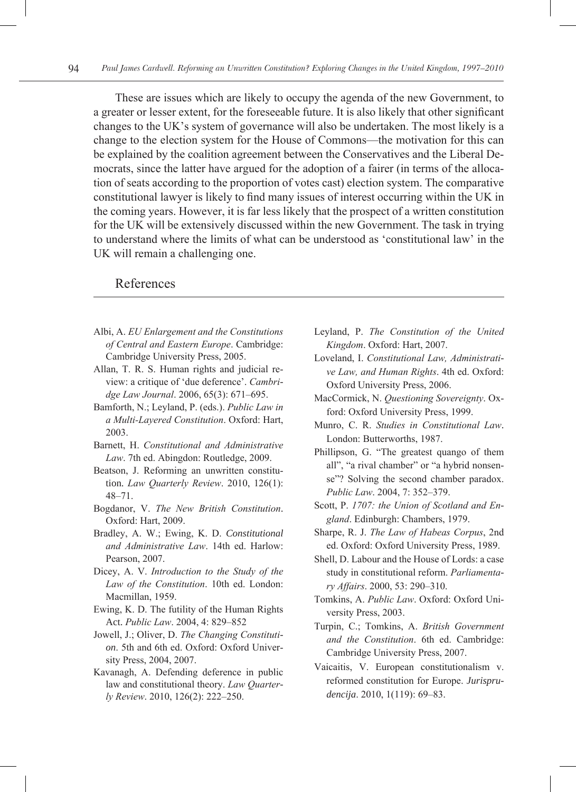These are issues which are likely to occupy the agenda of the new Government, to a greater or lesser extent, for the foreseeable future. It is also likely that other significant changes to the UK's system of governance will also be undertaken. The most likely is a change to the election system for the House of Commons—the motivation for this can be explained by the coalition agreement between the Conservatives and the Liberal Democrats, since the latter have argued for the adoption of a fairer (in terms of the allocation of seats according to the proportion of votes cast) election system. The comparative constitutional lawyer is likely to find many issues of interest occurring within the UK in the coming years. However, it is far less likely that the prospect of a written constitution for the UK will be extensively discussed within the new Government. The task in trying to understand where the limits of what can be understood as 'constitutional law' in the UK will remain a challenging one.

#### References

- Albi, A. *EU Enlargement and the Constitutions of Central and Eastern Europe*. Cambridge: Cambridge University Press, 2005.
- Allan, T. R. S. Human rights and judicial review: a critique of 'due deference'. *Cambridge Law Journal*. 2006, 65(3): 671–695.
- Bamforth, N.; Leyland, P. (eds.). *Public Law in a Multi-Layered Constitution*. Oxford: Hart, 2003.
- Barnett, H. *Constitutional and Administrative Law*. 7th ed. Abingdon: Routledge, 2009.
- Beatson, J. Reforming an unwritten constitution. *Law Quarterly Review*. 2010, 126(1): 48–71.
- Bogdanor, V. *The New British Constitution*. Oxford: Hart, 2009.
- Bradley, A. W.; Ewing, K. D. *Constitutional and Administrative Law*. 14th ed. Harlow: Pearson, 2007.
- Dicey, A. V. *Introduction to the Study of the Law of the Constitution*. 10th ed. London: Macmillan, 1959.
- Ewing, K. D. The futility of the Human Rights Act. *Public Law*. 2004, 4: 829–852
- Jowell, J.; Oliver, D. *The Changing Constitution*. 5th and 6th ed. Oxford: Oxford University Press, 2004, 2007.
- Kavanagh, A. Defending deference in public law and constitutional theory. *Law Quarterly Review*. 2010, 126(2): 222–250.
- Leyland, P. *The Constitution of the United Kingdom*. Oxford: Hart, 2007.
- Loveland, I. *Constitutional Law, Administrative Law, and Human Rights*. 4th ed. Oxford: Oxford University Press, 2006.
- MacCormick, N. *Questioning Sovereignty*. Oxford: Oxford University Press, 1999.
- Munro, C. R. *Studies in Constitutional Law*. London: Butterworths, 1987.
- Phillipson, G. "The greatest quango of them all", "a rival chamber" or "a hybrid nonsense"? Solving the second chamber paradox. *Public Law*. 2004, 7: 352–379.
- Scott, P. *1707: the Union of Scotland and England*. Edinburgh: Chambers, 1979.
- Sharpe, R. J. *The Law of Habeas Corpus*, 2nd ed. Oxford: Oxford University Press, 1989.
- Shell, D. Labour and the House of Lords: a case study in constitutional reform. *Parliamentary Affairs*. 2000, 53: 290–310.
- Tomkins, A. *Public Law*. Oxford: Oxford University Press, 2003.
- Turpin, C.; Tomkins, A. *British Government and the Constitution*. 6th ed. Cambridge: Cambridge University Press, 2007.
- Vaicaitis, V. European constitutionalism v. reformed constitution for Europe. *Jurisprudencija*. 2010, 1(119): 69–83.